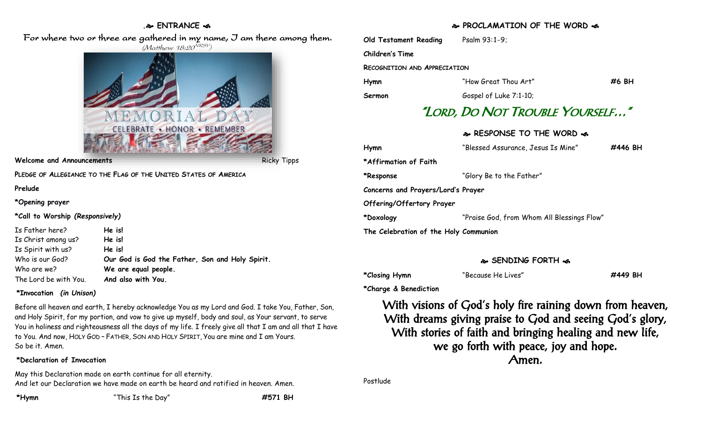#### **. ENTRANCE**

For where two or three are gathered in my name, J am there among them. (Matthew 18:20<sup>NRSV</sup>)



#### **Welcome and Announcements** Ricky Tipps Ricky Tipps

**PLEDGE OF ALLEGIANCE TO THE FLAG OF THE UNITED STATES OF AMERICA**

#### **Prelude**

#### **\*Opening prayer**

**\*Call to Worship** *(Responsively)*

Is Father here? **He is!** Is Christ among us? **He is!** Is Spirit with us? **He is!** Who is our God? **Our God is God the Father, Son and Holy Spirit.** Who are we? **We are equal people.** The Lord be with You. **And also with You.**

### **\*Invocation** *(in Unison)*

Before all heaven and earth, I hereby acknowledge You as my Lord and God. I take You, Father, Son, and Holy Spirit, for my portion, and vow to give up myself, body and soul, as Your servant, to serve You in holiness and righteousness all the days of my life. I freely give all that I am and all that I have to You. And now, HOLY GOD – FATHER, SON AND HOLY SPIRIT, You are mine and I am Yours. So be it. Amen.

### **\*Declaration of Invocation**

May this Declaration made on earth continue for all eternity. And let our Declaration we have made on earth be heard and ratified in heaven. Amen.

## **PROCLAMATION OF THE WORD**

| <b>Old Testament Reading</b>        | Psalm 93:1-9;          |         |
|-------------------------------------|------------------------|---------|
| <b>Children's Time</b>              |                        |         |
| <b>RECOGNITION AND APPRECIATION</b> |                        |         |
| Hymn                                | "How Great Thou Art"   | $#6$ BH |
| Sermon                              | Gospel of Luke 7:1-10; |         |
| "LORD, DO NOT TROUBLE YOURSELF"     |                        |         |

# **RESPONSE TO THE WORD**  $\omega$

| Hymn                                  | "Blessed Assurance, Jesus Is Mine"         | #446 BH |
|---------------------------------------|--------------------------------------------|---------|
| *Affirmation of Faith                 |                                            |         |
| *Response                             | "Glory Be to the Father"                   |         |
| Concerns and Prayers/Lord's Prayer    |                                            |         |
| <b>Offering/Offertory Prayer</b>      |                                            |         |
| *Doxology                             | "Praise God, from Whom All Blessings Flow" |         |
| The Celebration of the Holy Communion |                                            |         |

## **SENDING FORTH**

| *Closing Hymn |  |
|---------------|--|
|               |  |

**\*Closing Hymn** "Because He Lives" **#449 BH**

**\*Charge & Benediction**

With visions of God's holy fire raining down from heaven, With dreams giving praise to God and seeing God's glory, With stories of faith and bringing healing and new life, we go forth with peace, joy and hope. Amen.

Postlude